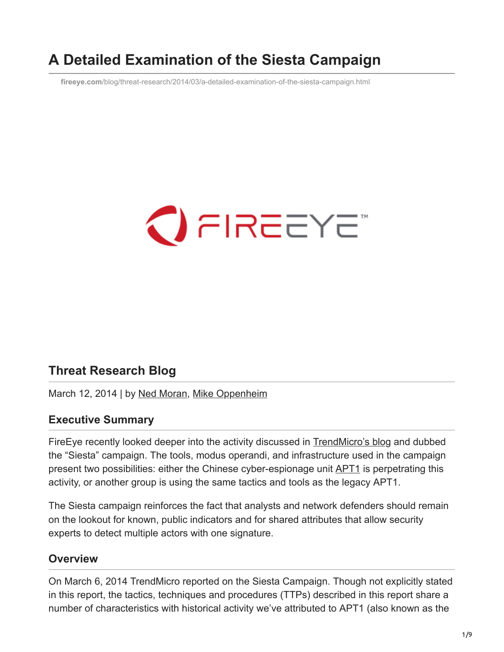# **A Detailed Examination of the Siesta Campaign**

**fireeye.com**[/blog/threat-research/2014/03/a-detailed-examination-of-the-siesta-campaign.html](https://www.fireeye.com/blog/threat-research/2014/03/a-detailed-examination-of-the-siesta-campaign.html)



## **Threat Research Blog**

March 12, 2014 | by [Ned Moran](https://www.fireeye.com/blog/threat-research.html/category/etc/tags/fireeye-blog-authors/cap-ned-moran), [Mike Oppenheim](https://www.fireeye.com/blog/threat-research.html/category/etc/tags/fireeye-blog-authors/cap-mike-oppenheim)

### **Executive Summary**

FireEye recently looked deeper into the activity discussed in [TrendMicro's blog](http://blog.trendmicro.com/trendlabs-security-intelligence/the-siesta-campaign-a-new-targeted-attack-awakens/) and dubbed the "Siesta" campaign. The tools, modus operandi, and infrastructure used in the campaign present two possibilities: either the Chinese cyber-espionage unit **APT1** is perpetrating this activity, or another group is using the same tactics and tools as the legacy APT1.

The Siesta campaign reinforces the fact that analysts and network defenders should remain on the lookout for known, public indicators and for shared attributes that allow security experts to detect multiple actors with one signature.

## **Overview**

On March 6, 2014 TrendMicro reported on the Siesta Campaign. Though not explicitly stated in this report, the tactics, techniques and procedures (TTPs) described in this report share a number of characteristics with historical activity we've attributed to APT1 (also known as the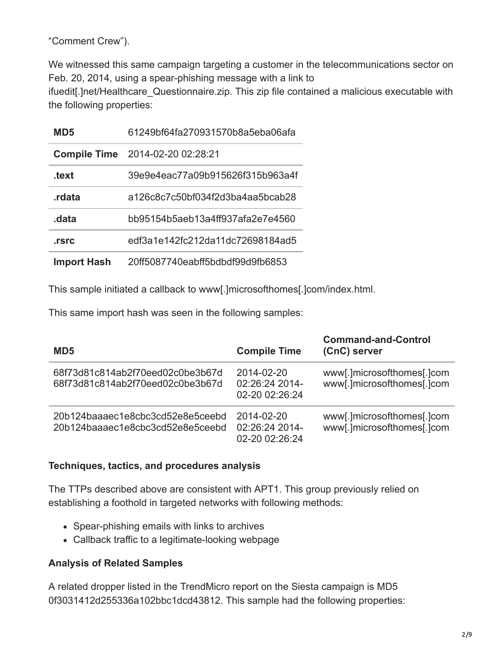"Comment Crew").

We witnessed this same campaign targeting a customer in the telecommunications sector on Feb. 20, 2014, using a spear-phishing message with a link to ifuedit[.]net/Healthcare\_Questionnaire.zip. This zip file contained a malicious executable with the following properties:

| MD5                | 61249bf64fa270931570b8a5eba06afa        |
|--------------------|-----------------------------------------|
|                    | <b>Compile Time</b> 2014-02-20 02:28:21 |
| .text              | 39e9e4eac77a09b915626f315b963a4f        |
| .rdata             | a126c8c7c50bf034f2d3ba4aa5bcab28        |
| .data              | bb95154b5aeb13a4ff937afa2e7e4560        |
| .rsrc              | edf3a1e142fc212da11dc72698184ad5        |
| <b>Import Hash</b> | 20ff5087740eabff5bdbdf99d9fb6853        |

This sample initiated a callback to www[.]microsofthomes[.]com/index.html.

This same import hash was seen in the following samples:

| MD5                                                                  | <b>Compile Time</b>                            | <b>Command-and-Control</b><br>(CnC) server               |
|----------------------------------------------------------------------|------------------------------------------------|----------------------------------------------------------|
| 68f73d81c814ab2f70eed02c0be3b67d<br>68f73d81c814ab2f70eed02c0be3b67d | 2014-02-20<br>02:26:24 2014-<br>02-20 02:26:24 | www[.]microsofthomes[.]com<br>www[.]microsofthomes[.]com |
| 20b124baaaec1e8cbc3cd52e8e5ceebd<br>20b124baaaec1e8cbc3cd52e8e5ceebd | 2014-02-20<br>02:26:24 2014-<br>02-20 02:26:24 | www[.]microsofthomes[.]com<br>www[.]microsofthomes[.]com |

### **Techniques, tactics, and procedures analysis**

The TTPs described above are consistent with APT1. This group previously relied on establishing a foothold in targeted networks with following methods:

- Spear-phishing emails with links to archives
- Callback traffic to a legitimate-looking webpage

### **Analysis of Related Samples**

A related dropper listed in the TrendMicro report on the Siesta campaign is MD5 0f3031412d255336a102bbc1dcd43812. This sample had the following properties: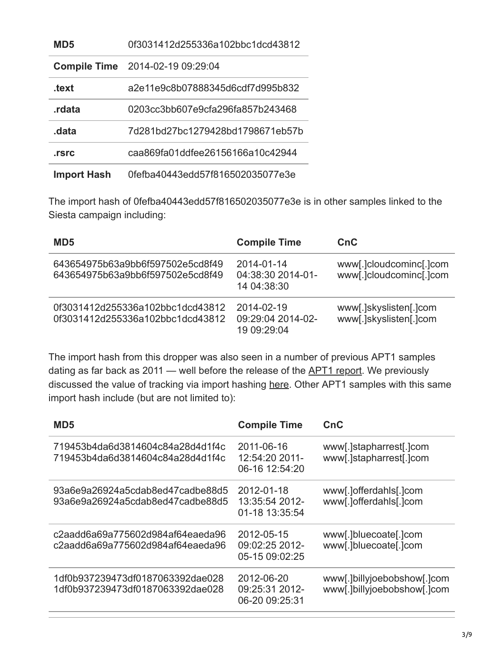| MD <sub>5</sub>     | 0f3031412d255336a102bbc1dcd43812 |
|---------------------|----------------------------------|
| <b>Compile Time</b> | 2014-02-19 09:29:04              |
| .text               | a2e11e9c8b07888345d6cdf7d995b832 |
| .rdata              | 0203cc3bb607e9cfa296fa857b243468 |
| .data               | 7d281bd27bc1279428bd1798671eb57b |
| .rsrc               | caa869fa01ddfee26156166a10c42944 |
| <b>Import Hash</b>  | 0fefba40443edd57f816502035077e3e |

The import hash of 0fefba40443edd57f816502035077e3e is in other samples linked to the Siesta campaign including:

| MD <sub>5</sub>                                                      | <b>Compile Time</b>                            | CnC                                                |
|----------------------------------------------------------------------|------------------------------------------------|----------------------------------------------------|
| 643654975b63a9bb6f597502e5cd8f49<br>643654975b63a9bb6f597502e5cd8f49 | 2014-01-14<br>04:38:30 2014-01-<br>14 04:38:30 | www[.]cloudcominc[.]com<br>www[.]cloudcominc[.]com |
| 0f3031412d255336a102bbc1dcd43812<br>0f3031412d255336a102bbc1dcd43812 | 2014-02-19<br>09:29:04 2014-02-<br>19 09:29:04 | www[.]skyslisten[.]com<br>www[.]skyslisten[.]com   |

The import hash from this dropper was also seen in a number of previous APT1 samples dating as far back as 2011 — well before the release of the **APT1 report**. We previously discussed the value of tracking via import hashing [here](http://www.mandiant.com/blog/tracking-malware-import-hashing/). Other APT1 samples with this same import hash include (but are not limited to):

| MD <sub>5</sub>                                                      | <b>Compile Time</b>                            | CnC                                                        |
|----------------------------------------------------------------------|------------------------------------------------|------------------------------------------------------------|
| 719453b4da6d3814604c84a28d4d1f4c<br>719453b4da6d3814604c84a28d4d1f4c | 2011-06-16<br>12:54:20 2011-<br>06-16 12:54:20 | www[.]stapharrest[.]com<br>www[.]stapharrest[.]com         |
| 93a6e9a26924a5cdab8ed47cadbe88d5<br>93a6e9a26924a5cdab8ed47cadbe88d5 | 2012-01-18<br>13:35:54 2012-<br>01-18 13:35:54 | www[.]offerdahls[.]com<br>www[.]offerdahls[.]com           |
| c2aadd6a69a775602d984af64eaeda96<br>c2aadd6a69a775602d984af64eaeda96 | 2012-05-15<br>09:02:25 2012-<br>05-15 09:02:25 | www[.]bluecoate[.]com<br>www[.]bluecoate[.]com             |
| 1df0b937239473df0187063392dae028<br>1df0b937239473df0187063392dae028 | 2012-06-20<br>09:25:31 2012-<br>06-20 09:25:31 | www[.]billyjoebobshow[.]com<br>www[.]billyjoebobshow[.]com |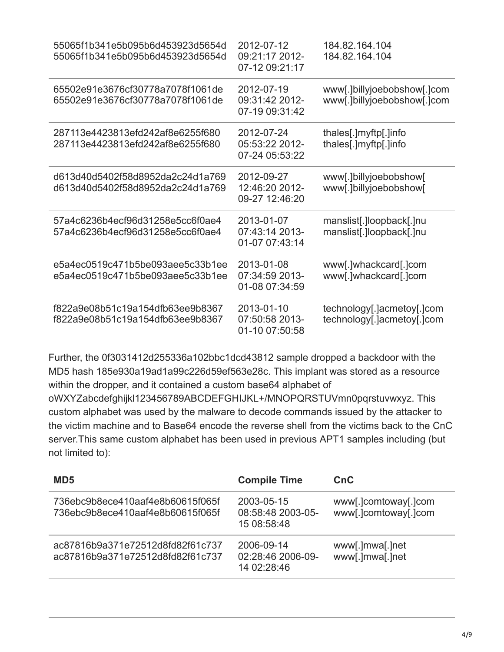| 55065f1b341e5b095b6d453923d5654d<br>55065f1b341e5b095b6d453923d5654d | 2012-07-12<br>09:21:17 2012-<br>07-12 09:21:17 | 184.82.164.104<br>184.82.164.104                           |
|----------------------------------------------------------------------|------------------------------------------------|------------------------------------------------------------|
| 65502e91e3676cf30778a7078f1061de<br>65502e91e3676cf30778a7078f1061de | 2012-07-19<br>09:31:42 2012-<br>07-19 09:31:42 | www[.]billyjoebobshow[.]com<br>www[.]billyjoebobshow[.]com |
| 287113e4423813efd242af8e6255f680<br>287113e4423813efd242af8e6255f680 | 2012-07-24<br>05:53:22 2012-<br>07-24 05:53:22 | thales[.]myftp[.]info<br>thales[.]myftp[.]info             |
| d613d40d5402f58d8952da2c24d1a769<br>d613d40d5402f58d8952da2c24d1a769 | 2012-09-27<br>12:46:20 2012-<br>09-27 12:46:20 | www[.]billyjoebobshow[<br>www[.]billyjoebobshow[           |
| 57a4c6236b4ecf96d31258e5cc6f0ae4<br>57a4c6236b4ecf96d31258e5cc6f0ae4 | 2013-01-07<br>07:43:14 2013-<br>01-07 07:43:14 | manslist[.]loopback[.]nu<br>manslist[.]loopback[.]nu       |
| e5a4ec0519c471b5be093aee5c33b1ee<br>e5a4ec0519c471b5be093aee5c33b1ee | 2013-01-08<br>07:34:59 2013-<br>01-08 07:34:59 | www[.]whackcard[.]com<br>www[.]whackcard[.]com             |
| f822a9e08b51c19a154dfb63ee9b8367<br>f822a9e08b51c19a154dfb63ee9b8367 | 2013-01-10<br>07:50:58 2013-<br>01-10 07:50:58 | technology[.]acmetoy[.]com<br>technology[.]acmetoy[.]com   |

Further, the 0f3031412d255336a102bbc1dcd43812 sample dropped a backdoor with the MD5 hash 185e930a19ad1a99c226d59ef563e28c. This implant was stored as a resource within the dropper, and it contained a custom base64 alphabet of oWXYZabcdefghijkl123456789ABCDEFGHIJKL+/MNOPQRSTUVmn0pqrstuvwxyz. This custom alphabet was used by the malware to decode commands issued by the attacker to the victim machine and to Base64 encode the reverse shell from the victims back to the CnC server.This same custom alphabet has been used in previous APT1 samples including (but not limited to):

| MD <sub>5</sub>                                                      | <b>Compile Time</b>                            | <b>CnC</b>                                   |
|----------------------------------------------------------------------|------------------------------------------------|----------------------------------------------|
| 736ebc9b8ece410aaf4e8b60615f065f<br>736ebc9b8ece410aaf4e8b60615f065f | 2003-05-15<br>08:58:48 2003-05-<br>15 08:58:48 | www[.]comtoway[.]com<br>www[.]comtoway[.]com |
| ac87816b9a371e72512d8fd82f61c737<br>ac87816b9a371e72512d8fd82f61c737 | 2006-09-14<br>02:28:46 2006-09-<br>14 02:28:46 | www[.]mwa[.]net<br>www[.]mwa[.]net           |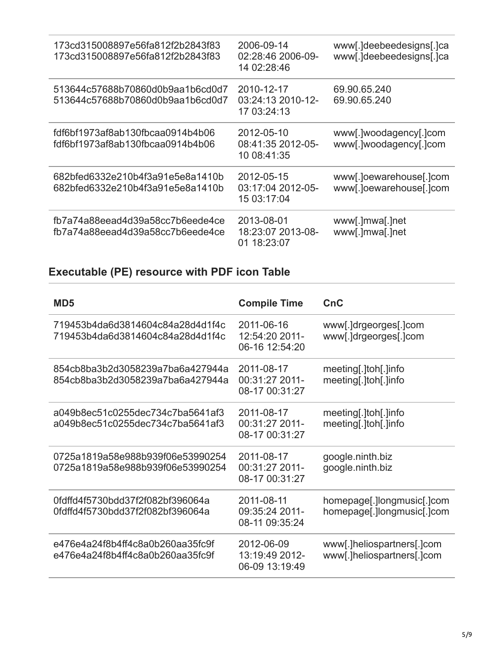| 173cd315008897e56fa812f2b2843f83<br>173cd315008897e56fa812f2b2843f83 | 2006-09-14<br>02:28:46 2006-09-<br>14 02:28:46 | www[.]deebeedesigns[.]ca<br>www[.]deebeedesigns[.]ca |
|----------------------------------------------------------------------|------------------------------------------------|------------------------------------------------------|
| 513644c57688b70860d0b9aa1b6cd0d7<br>513644c57688b70860d0b9aa1b6cd0d7 | 2010-12-17<br>03:24:13 2010-12-<br>17 03:24:13 | 69.90.65.240<br>69.90.65.240                         |
| fdf6bf1973af8ab130fbcaa0914b4b06<br>fdf6bf1973af8ab130fbcaa0914b4b06 | 2012-05-10<br>08:41:35 2012-05-<br>10 08:41:35 | www[.]woodagency[.]com<br>www[.]woodagency[.]com     |
| 682bfed6332e210b4f3a91e5e8a1410b<br>682bfed6332e210b4f3a91e5e8a1410b | 2012-05-15<br>03:17:04 2012-05-<br>15 03:17:04 | www[.]oewarehouse[.]com<br>www[.]oewarehouse[.]com   |
| fb7a74a88eead4d39a58cc7b6eede4ce<br>fb7a74a88eead4d39a58cc7b6eede4ce | 2013-08-01<br>18:23:07 2013-08-<br>01 18:23:07 | www[.]mwa[.]net<br>www[.]mwa[.]net                   |

## **Executable (PE) resource with PDF icon Table**

| MD <sub>5</sub>                                                      | <b>Compile Time</b>                            | CnC                                                      |
|----------------------------------------------------------------------|------------------------------------------------|----------------------------------------------------------|
| 719453b4da6d3814604c84a28d4d1f4c<br>719453b4da6d3814604c84a28d4d1f4c | 2011-06-16<br>12:54:20 2011-<br>06-16 12:54:20 | www[.]drgeorges[.]com<br>www[.]drgeorges[.]com           |
| 854cb8ba3b2d3058239a7ba6a427944a<br>854cb8ba3b2d3058239a7ba6a427944a | 2011-08-17<br>00:31:27 2011-<br>08-17 00:31:27 | meeting[.]toh[.]info<br>meeting[.]toh[.]info             |
| a049b8ec51c0255dec734c7ba5641af3<br>a049b8ec51c0255dec734c7ba5641af3 | 2011-08-17<br>00:31:27 2011-<br>08-17 00:31:27 | meeting[.]toh[.]info<br>meeting[.]toh[.]info             |
| 0725a1819a58e988b939f06e53990254<br>0725a1819a58e988b939f06e53990254 | 2011-08-17<br>00:31:27 2011-<br>08-17 00:31:27 | google.ninth.biz<br>google.ninth.biz                     |
| 0fdffd4f5730bdd37f2f082bf396064a<br>0fdffd4f5730bdd37f2f082bf396064a | 2011-08-11<br>09:35:24 2011-<br>08-11 09:35:24 | homepage[.]longmusic[.]com<br>homepage[.]longmusic[.]com |
| e476e4a24f8b4ff4c8a0b260aa35fc9f<br>e476e4a24f8b4ff4c8a0b260aa35fc9f | 2012-06-09<br>13:19:49 2012-<br>06-09 13:19:49 | www.]heliospartners<br>www[.]heliospartners[.]com        |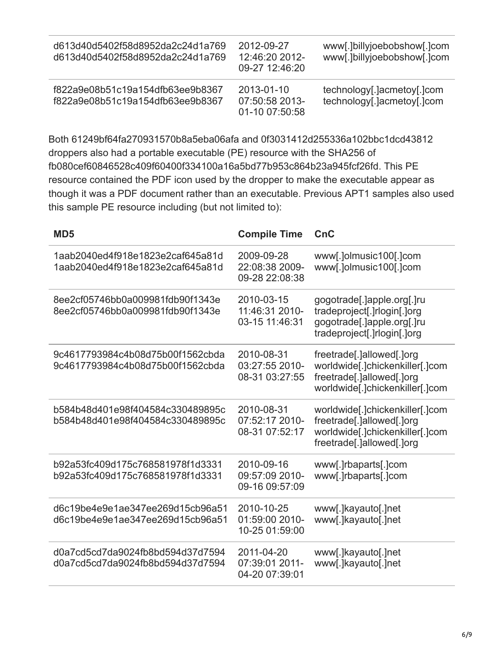| d613d40d5402f58d8952da2c24d1a769<br>d613d40d5402f58d8952da2c24d1a769 | 2012-09-27<br>12:46:20 2012-<br>09-27 12:46:20 | www[.]billyjoebobshow[.]com<br>www[.]billyjoebobshow[.]com |
|----------------------------------------------------------------------|------------------------------------------------|------------------------------------------------------------|
| f822a9e08b51c19a154dfb63ee9b8367<br>f822a9e08b51c19a154dfb63ee9b8367 | 2013-01-10<br>07:50:58 2013-<br>01-10 07:50:58 | technology[.]acmetoy[.]com<br>technology[.]acmetoy[.]com   |

Both 61249bf64fa270931570b8a5eba06afa and 0f3031412d255336a102bbc1dcd43812 droppers also had a portable executable (PE) resource with the SHA256 of fb080cef60846528c409f60400f334100a16a5bd77b953c864b23a945fcf26fd. This PE resource contained the PDF icon used by the dropper to make the executable appear as though it was a PDF document rather than an executable. Previous APT1 samples also used this sample PE resource including (but not limited to):

| MD <sub>5</sub>                                                      | <b>Compile Time</b>                            | CnC                                                                                                                          |
|----------------------------------------------------------------------|------------------------------------------------|------------------------------------------------------------------------------------------------------------------------------|
| 1aab2040ed4f918e1823e2caf645a81d<br>1aab2040ed4f918e1823e2caf645a81d | 2009-09-28<br>22:08:38 2009-<br>09-28 22:08:38 | www[.]olmusic100[.]com<br>www[.]olmusic100[.]com                                                                             |
| 8ee2cf05746bb0a009981fdb90f1343e<br>8ee2cf05746bb0a009981fdb90f1343e | 2010-03-15<br>11:46:31 2010-<br>03-15 11:46:31 | gogotrade[.]apple.org[.]ru<br>tradeproject[.]rlogin[.]org<br>gogotrade[.]apple.org[.]ru<br>tradeproject[.]rlogin[.]org       |
| 9c4617793984c4b08d75b00f1562cbda<br>9c4617793984c4b08d75b00f1562cbda | 2010-08-31<br>03:27:55 2010-<br>08-31 03:27:55 | freetrade[.]allowed[.]org<br>worldwide[.]chickenkiller[.]com<br>freetrade[.]allowed[.]org<br>worldwide[.]chickenkiller[.]com |
| b584b48d401e98f404584c330489895c<br>b584b48d401e98f404584c330489895c | 2010-08-31<br>07:52:17 2010-<br>08-31 07:52:17 | worldwide[.]chickenkiller[.]com<br>freetrade[.]allowed[.]org<br>worldwide[.]chickenkiller[.]com<br>freetrade[.]allowed[.]org |
| b92a53fc409d175c768581978f1d3331<br>b92a53fc409d175c768581978f1d3331 | 2010-09-16<br>09:57:09 2010-<br>09-16 09:57:09 | www[.]rbaparts[.]com<br>www[.]rbaparts[.]com                                                                                 |
| d6c19be4e9e1ae347ee269d15cb96a51<br>d6c19be4e9e1ae347ee269d15cb96a51 | 2010-10-25<br>01:59:00 2010-<br>10-25 01:59:00 | www[.]kayauto[.]net<br>www[.]kayauto[.]net                                                                                   |
| d0a7cd5cd7da9024fb8bd594d37d7594<br>d0a7cd5cd7da9024fb8bd594d37d7594 | 2011-04-20<br>07:39:01 2011-<br>04-20 07:39:01 | www[.]kayauto[.]net<br>www[.]kayauto[.]net                                                                                   |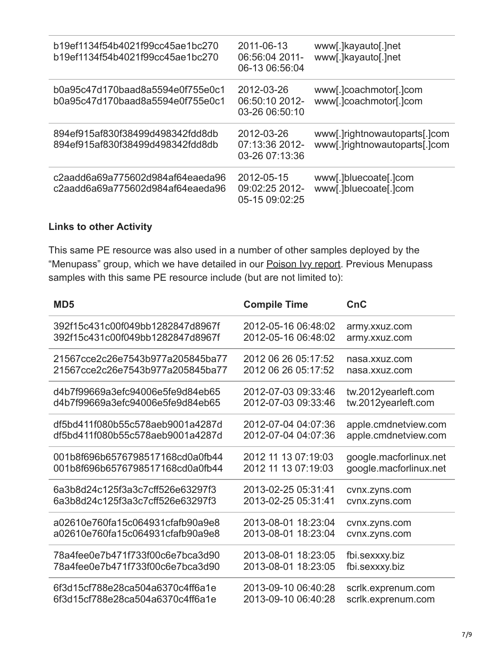| b19ef1134f54b4021f99cc45ae1bc270<br>b19ef1134f54b4021f99cc45ae1bc270 | 2011-06-13<br>06:56:04 2011-<br>06-13 06:56:04 | www[.]kayauto[.]net<br>www[.]kayauto[.]net                  |
|----------------------------------------------------------------------|------------------------------------------------|-------------------------------------------------------------|
| b0a95c47d170baad8a5594e0f755e0c1<br>b0a95c47d170baad8a5594e0f755e0c1 | 2012-03-26<br>06:50:10 2012-<br>03-26 06:50:10 | www[.]coachmotor[.]com<br>www[.]coachmotor[.]com            |
| 894ef915af830f38499d498342fdd8db<br>894ef915af830f38499d498342fdd8db | 2012-03-26<br>07:13:36 2012-<br>03-26 07:13:36 | www.lightnowautoparts.lcom<br>www[.]rightnowautoparts[.]com |
| c2aadd6a69a775602d984af64eaeda96<br>c2aadd6a69a775602d984af64eaeda96 | 2012-05-15<br>09:02:25 2012-<br>05-15 09:02:25 | www[.]bluecoate[.]com<br>www[.]bluecoate[.]com              |

### **Links to other Activity**

This same PE resource was also used in a number of other samples deployed by the "Menupass" group, which we have detailed in our **Poison Ivy report**. Previous Menupass samples with this same PE resource include (but are not limited to):

| MD <sub>5</sub>                  | <b>Compile Time</b> | CnC                    |
|----------------------------------|---------------------|------------------------|
| 392f15c431c00f049bb1282847d8967f | 2012-05-16 06:48:02 | army.xxuz.com          |
| 392f15c431c00f049bb1282847d8967f | 2012-05-16 06:48:02 | army.xxuz.com          |
| 21567cce2c26e7543b977a205845ba77 | 2012 06 26 05:17:52 | nasa.xxuz.com          |
| 21567cce2c26e7543b977a205845ba77 | 2012 06 26 05:17:52 | nasa.xxuz.com          |
| d4b7f99669a3efc94006e5fe9d84eb65 | 2012-07-03 09:33:46 | tw.2012yearleft.com    |
| d4b7f99669a3efc94006e5fe9d84eb65 | 2012-07-03 09:33:46 | tw.2012yearleft.com    |
| df5bd411f080b55c578aeb9001a4287d | 2012-07-04 04:07:36 | apple.cmdnetview.com   |
| df5bd411f080b55c578aeb9001a4287d | 2012-07-04 04:07:36 | apple.cmdnetview.com   |
| 001b8f696b6576798517168cd0a0fb44 | 2012 11 13 07:19:03 | google.macforlinux.net |
| 001b8f696b6576798517168cd0a0fb44 | 2012 11 13 07:19:03 | google.macforlinux.net |
| 6a3b8d24c125f3a3c7cff526e63297f3 | 2013-02-25 05:31:41 | cvnx.zyns.com          |
| 6a3b8d24c125f3a3c7cff526e63297f3 | 2013-02-25 05:31:41 | cvnx.zyns.com          |
| a02610e760fa15c064931cfafb90a9e8 | 2013-08-01 18:23:04 | cvnx.zyns.com          |
| a02610e760fa15c064931cfafb90a9e8 | 2013-08-01 18:23:04 | cvnx.zyns.com          |
| 78a4fee0e7b471f733f00c6e7bca3d90 | 2013-08-01 18:23:05 | fbi.sexxxy.biz         |
| 78a4fee0e7b471f733f00c6e7bca3d90 | 2013-08-01 18:23:05 | fbi.sexxxy.biz         |
| 6f3d15cf788e28ca504a6370c4ff6a1e | 2013-09-10 06:40:28 | scrlk.exprenum.com     |
| 6f3d15cf788e28ca504a6370c4ff6a1e | 2013-09-10 06:40:28 | scrlk.exprenum.com     |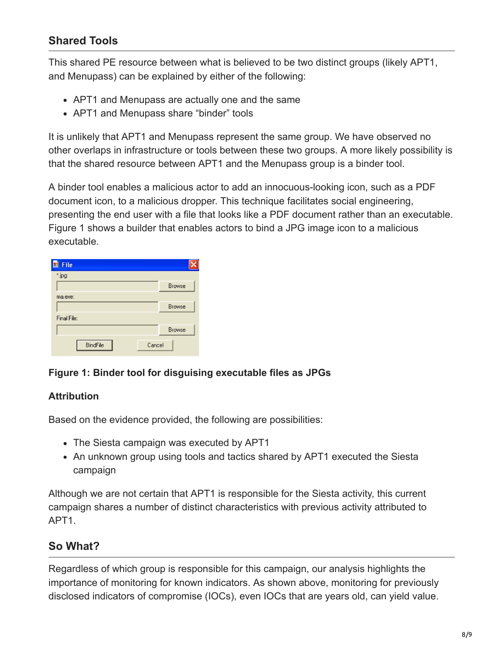## **Shared Tools**

This shared PE resource between what is believed to be two distinct groups (likely APT1, and Menupass) can be explained by either of the following:

- APT1 and Menupass are actually one and the same
- APT1 and Menupass share "binder" tools

It is unlikely that APT1 and Menupass represent the same group. We have observed no other overlaps in infrastructure or tools between these two groups. A more likely possibility is that the shared resource between APT1 and the Menupass group is a binder tool.

A binder tool enables a malicious actor to add an innocuous-looking icon, such as a PDF document icon, to a malicious dropper. This technique facilitates social engineering, presenting the end user with a file that looks like a PDF document rather than an executable. Figure 1 shows a builder that enables actors to bind a JPG image icon to a malicious executable.

| File<br>国   |        |               |
|-------------|--------|---------------|
| *.jpg:      |        |               |
|             |        | <b>Browse</b> |
| ma.exe:     |        |               |
|             |        | <b>Browse</b> |
| Final File: |        |               |
|             |        | <b>Browse</b> |
| BindFile    | Cancel |               |

### **Figure 1: Binder tool for disguising executable files as JPGs**

### **Attribution**

Based on the evidence provided, the following are possibilities:

- The Siesta campaign was executed by APT1
- An unknown group using tools and tactics shared by APT1 executed the Siesta campaign

Although we are not certain that APT1 is responsible for the Siesta activity, this current campaign shares a number of distinct characteristics with previous activity attributed to APT1.

## **So What?**

Regardless of which group is responsible for this campaign, our analysis highlights the importance of monitoring for known indicators. As shown above, monitoring for previously disclosed indicators of compromise (IOCs), even IOCs that are years old, can yield value.